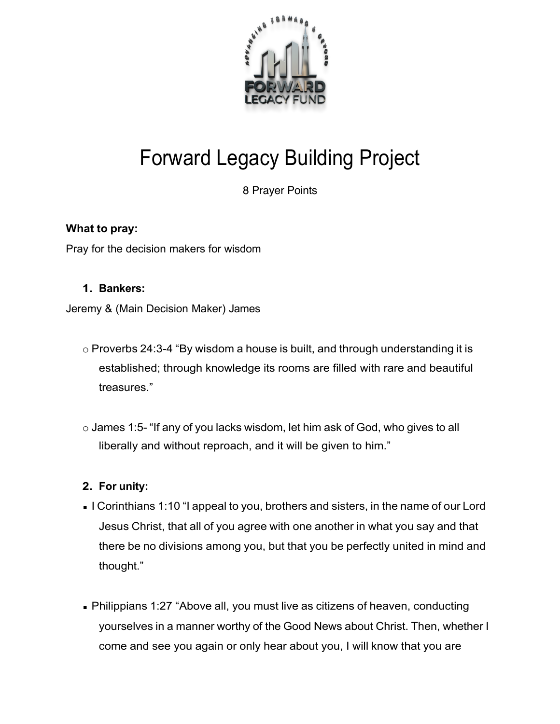

# Forward Legacy Building Project

8 Prayer Points

## **What to pray:**

Pray for the decision makers for wisdom

#### **1. Bankers:**

Jeremy & (Main Decision Maker) James

- o Proverbs 24:3-4 "By wisdom a house is built, and through understanding it is established; through knowledge its rooms are filled with rare and beautiful treasures."
- o James 1:5- "If any of you lacks wisdom, let him ask of God, who gives to all liberally and without reproach, and it will be given to him."

### **2. For unity:**

- I Corinthians 1:10 "I appeal to you, brothers and sisters, in the name of our Lord Jesus Christ, that all of you agree with one another in what you say and that there be no divisions among you, but that you be perfectly united in mind and thought."
- Philippians 1:27 "Above all, you must live as citizens of heaven, conducting yourselves in a manner worthy of the Good News about Christ. Then, whether I come and see you again or only hear about you, I will know that you are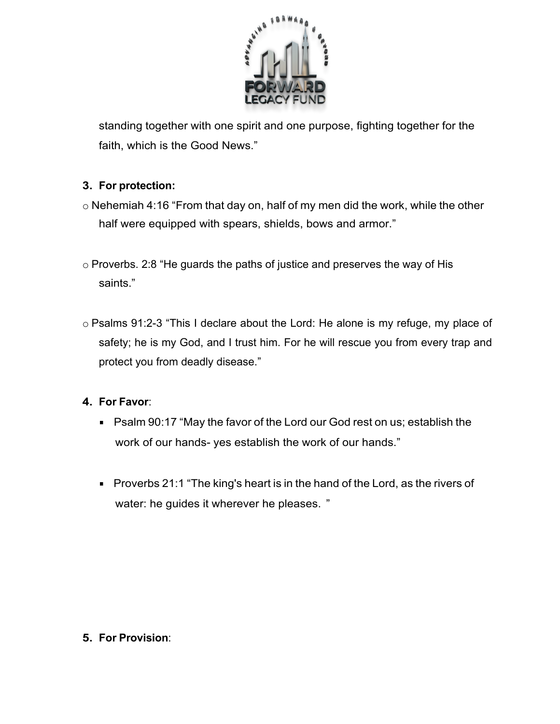

standing together with one spirit and one purpose, fighting together for the faith, which is the Good News."

## **3. For protection:**

- o Nehemiah 4:16 "From that day on, half of my men did the work, while the other half were equipped with spears, shields, bows and armor."
- o Proverbs. 2:8 "He guards the paths of justice and preserves the way of His saints."
- o Psalms 91:2-3 "This I declare about the Lord: He alone is my refuge, my place of safety; he is my God, and I trust him. For he will rescue you from every trap and protect you from deadly disease."

### **4. For Favor**:

- Psalm 90:17 "May the favor of the Lord our God rest on us; establish the work of our hands- yes establish the work of our hands."
- **Proverbs 21:1 "The king's heart is in the hand of the Lord, as the rivers of** water: he guides it wherever he pleases. "

### **5. For Provision**: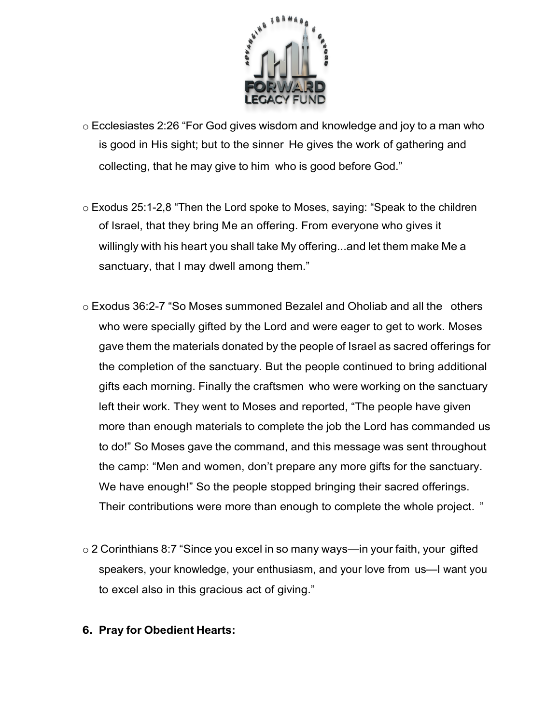

- o Ecclesiastes 2:26 "For God gives wisdom and knowledge and joy to a man who is good in His sight; but to the sinner He gives the work of gathering and collecting, that he may give to him who is good before God."
- o Exodus 25:1-2,8 "Then the Lord spoke to Moses, saying: "Speak to the children of Israel, that they bring Me an offering. From everyone who gives it willingly with his heart you shall take My offering...and let them make Me a sanctuary, that I may dwell among them."
- o Exodus 36:2-7 "So Moses summoned Bezalel and Oholiab and all the others who were specially gifted by the Lord and were eager to get to work. Moses gave them the materials donated by the people of Israel as sacred offerings for the completion of the sanctuary. But the people continued to bring additional gifts each morning. Finally the craftsmen who were working on the sanctuary left their work. They went to Moses and reported, "The people have given more than enough materials to complete the job the Lord has commanded us to do!" So Moses gave the command, and this message was sent throughout the camp: "Men and women, don't prepare any more gifts for the sanctuary. We have enough!" So the people stopped bringing their sacred offerings. Their contributions were more than enough to complete the whole project. "
- o 2 Corinthians 8:7 "Since you excel in so many ways—in your faith, your gifted speakers, your knowledge, your enthusiasm, and your love from us—I want you to excel also in this gracious act of giving."
- **6. Pray for Obedient Hearts:**